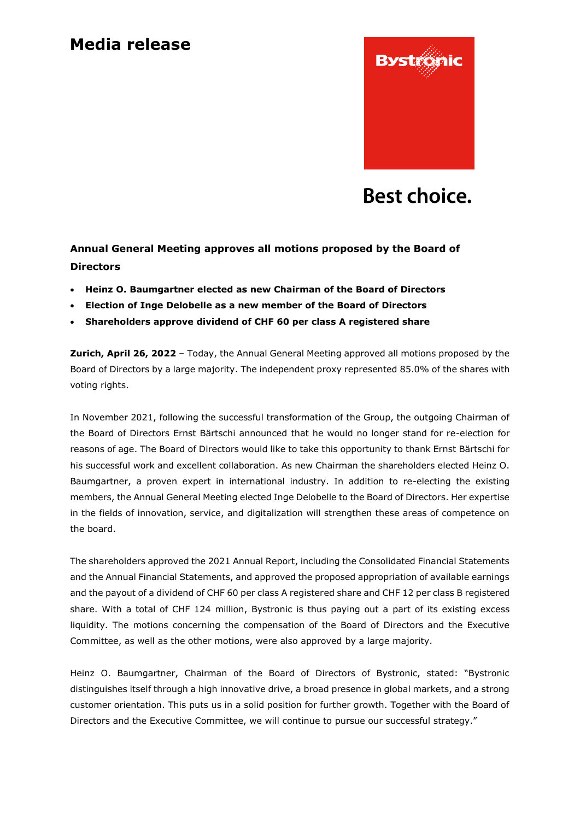## **Media release**



# **Best choice.**

### **Annual General Meeting approves all motions proposed by the Board of Directors**

- **Heinz O. Baumgartner elected as new Chairman of the Board of Directors**
- **Election of Inge Delobelle as a new member of the Board of Directors**
- **Shareholders approve dividend of CHF 60 per class A registered share**

**Zurich, April 26, 2022** – Today, the Annual General Meeting approved all motions proposed by the Board of Directors by a large majority. The independent proxy represented 85.0% of the shares with voting rights.

In November 2021, following the successful transformation of the Group, the outgoing Chairman of the Board of Directors Ernst Bärtschi announced that he would no longer stand for re-election for reasons of age. The Board of Directors would like to take this opportunity to thank Ernst Bärtschi for his successful work and excellent collaboration. As new Chairman the shareholders elected Heinz O. Baumgartner, a proven expert in international industry. In addition to re-electing the existing members, the Annual General Meeting elected Inge Delobelle to the Board of Directors. Her expertise in the fields of innovation, service, and digitalization will strengthen these areas of competence on the board.

The shareholders approved the 2021 Annual Report, including the Consolidated Financial Statements and the Annual Financial Statements, and approved the proposed appropriation of available earnings and the payout of a dividend of CHF 60 per class A registered share and CHF 12 per class B registered share. With a total of CHF 124 million, Bystronic is thus paying out a part of its existing excess liquidity. The motions concerning the compensation of the Board of Directors and the Executive Committee, as well as the other motions, were also approved by a large majority.

Heinz O. Baumgartner, Chairman of the Board of Directors of Bystronic, stated: "Bystronic distinguishes itself through a high innovative drive, a broad presence in global markets, and a strong customer orientation. This puts us in a solid position for further growth. Together with the Board of Directors and the Executive Committee, we will continue to pursue our successful strategy."